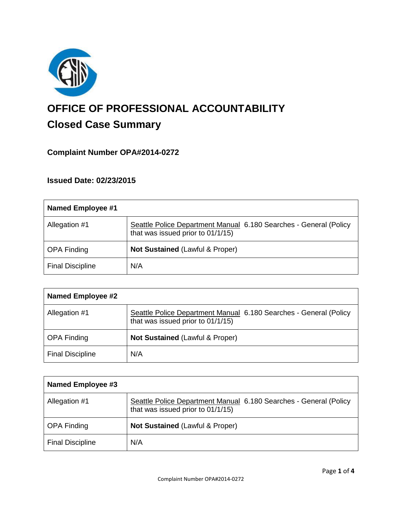

# **OFFICE OF PROFESSIONAL ACCOUNTABILITY Closed Case Summary**

# **Complaint Number OPA#2014-0272**

# **Issued Date: 02/23/2015**

| Named Employee #1       |                                                                                                        |
|-------------------------|--------------------------------------------------------------------------------------------------------|
| Allegation #1           | Seattle Police Department Manual 6.180 Searches - General (Policy<br>that was issued prior to 01/1/15) |
| <b>OPA Finding</b>      | <b>Not Sustained (Lawful &amp; Proper)</b>                                                             |
| <b>Final Discipline</b> | N/A                                                                                                    |

| <b>Named Employee #2</b> |                                                                                                        |
|--------------------------|--------------------------------------------------------------------------------------------------------|
| Allegation #1            | Seattle Police Department Manual 6.180 Searches - General (Policy<br>that was issued prior to 01/1/15) |
| <b>OPA Finding</b>       | <b>Not Sustained (Lawful &amp; Proper)</b>                                                             |
| <b>Final Discipline</b>  | N/A                                                                                                    |

| Named Employee #3       |                                                                                                        |
|-------------------------|--------------------------------------------------------------------------------------------------------|
| Allegation #1           | Seattle Police Department Manual 6.180 Searches - General (Policy<br>that was issued prior to 01/1/15) |
| <b>OPA Finding</b>      | <b>Not Sustained (Lawful &amp; Proper)</b>                                                             |
| <b>Final Discipline</b> | N/A                                                                                                    |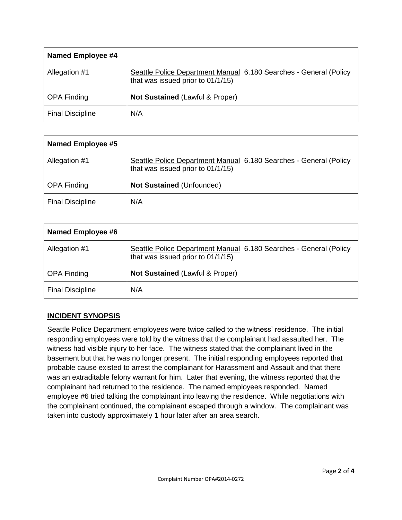| Named Employee #4       |                                                                                                        |
|-------------------------|--------------------------------------------------------------------------------------------------------|
| Allegation #1           | Seattle Police Department Manual 6.180 Searches - General (Policy<br>that was issued prior to 01/1/15) |
| <b>OPA Finding</b>      | <b>Not Sustained (Lawful &amp; Proper)</b>                                                             |
| <b>Final Discipline</b> | N/A                                                                                                    |

| <b>Named Employee #5</b> |                                                                                                        |
|--------------------------|--------------------------------------------------------------------------------------------------------|
| Allegation #1            | Seattle Police Department Manual 6.180 Searches - General (Policy<br>that was issued prior to 01/1/15) |
| <b>OPA Finding</b>       | <b>Not Sustained (Unfounded)</b>                                                                       |
| <b>Final Discipline</b>  | N/A                                                                                                    |

| Named Employee #6       |                                                                                                        |
|-------------------------|--------------------------------------------------------------------------------------------------------|
| Allegation #1           | Seattle Police Department Manual 6.180 Searches - General (Policy<br>that was issued prior to 01/1/15) |
| <b>OPA Finding</b>      | <b>Not Sustained (Lawful &amp; Proper)</b>                                                             |
| <b>Final Discipline</b> | N/A                                                                                                    |

# **INCIDENT SYNOPSIS**

Seattle Police Department employees were twice called to the witness' residence. The initial responding employees were told by the witness that the complainant had assaulted her. The witness had visible injury to her face. The witness stated that the complainant lived in the basement but that he was no longer present. The initial responding employees reported that probable cause existed to arrest the complainant for Harassment and Assault and that there was an extraditable felony warrant for him. Later that evening, the witness reported that the complainant had returned to the residence. The named employees responded. Named employee #6 tried talking the complainant into leaving the residence. While negotiations with the complainant continued, the complainant escaped through a window. The complainant was taken into custody approximately 1 hour later after an area search.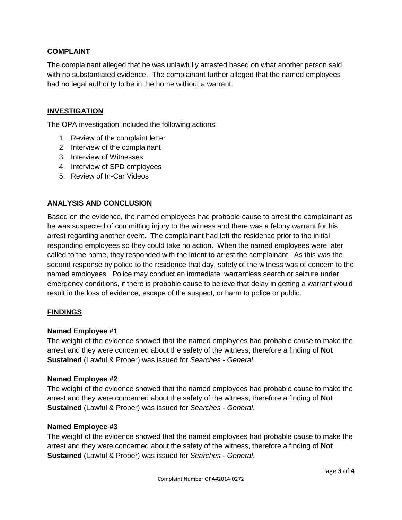# **COMPLAINT**

The complainant alleged that he was unlawfully arrested based on what another person said with no substantiated evidence. The complainant further alleged that the named employees had no legal authority to be in the home without a warrant.

# **INVESTIGATION**

The OPA investigation included the following actions:

- 1. Review of the complaint letter
- 2. Interview of the complainant
- 3. Interview of Witnesses
- 4. Interview of SPD employees
- 5. Review of In-Car Videos

# **ANALYSIS AND CONCLUSION**

Based on the evidence, the named employees had probable cause to arrest the complainant as he was suspected of committing injury to the witness and there was a felony warrant for his arrest regarding another event. The complainant had left the residence prior to the initial responding employees so they could take no action. When the named employees were later called to the home, they responded with the intent to arrest the complainant. As this was the second response by police to the residence that day, safety of the witness was of concern to the named employees. Police may conduct an immediate, warrantless search or seizure under emergency conditions, if there is probable cause to believe that delay in getting a warrant would result in the loss of evidence, escape of the suspect, or harm to police or public.

## **FINDINGS**

#### **Named Employee #1**

The weight of the evidence showed that the named employees had probable cause to make the arrest and they were concerned about the safety of the witness, therefore a finding of **Not Sustained** (Lawful & Proper) was issued for *Searches - General*.

#### **Named Employee #2**

The weight of the evidence showed that the named employees had probable cause to make the arrest and they were concerned about the safety of the witness, therefore a finding of **Not Sustained** (Lawful & Proper) was issued for *Searches - General*.

### **Named Employee #3**

The weight of the evidence showed that the named employees had probable cause to make the arrest and they were concerned about the safety of the witness, therefore a finding of **Not Sustained** (Lawful & Proper) was issued for *Searches - General*.